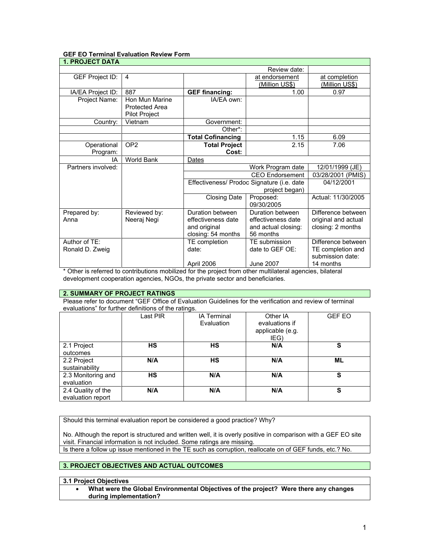# **GEF EO Terminal Evaluation Review Form**

| <b>1. PROJECT DATA</b> |                       |                                            |                       |                       |
|------------------------|-----------------------|--------------------------------------------|-----------------------|-----------------------|
|                        |                       |                                            | Review date:          |                       |
| GEF Project ID:        | 4                     |                                            | at endorsement        | at completion         |
|                        |                       |                                            | <u>(Million US\$)</u> | <u>(Million US\$)</u> |
| IA/EA Project ID:      | 887                   | <b>GEF financing:</b>                      | 1.00                  | 0.97                  |
| Project Name:          | Hon Mun Marine        | IA/EA own:                                 |                       |                       |
|                        | <b>Protected Area</b> |                                            |                       |                       |
|                        | Pilot Project         |                                            |                       |                       |
| Country:               | Vietnam               | Government:                                |                       |                       |
|                        |                       | Other*:                                    |                       |                       |
|                        |                       | <b>Total Cofinancing</b>                   | 1.15                  | 6.09                  |
| Operational            | OP <sub>2</sub>       | <b>Total Project</b>                       | 2.15                  | 7.06                  |
| Program:               |                       | Cost:                                      |                       |                       |
| IA                     | <b>World Bank</b>     | Dates                                      |                       |                       |
| Partners involved:     |                       | Work Program date                          |                       | 12/01/1999 (JE)       |
|                        |                       | <b>CEO Endorsement</b>                     |                       | 03/28/2001 (PMIS)     |
|                        |                       | Effectiveness/ Prodoc Signature (i.e. date |                       | 04/12/2001            |
|                        |                       | project began)                             |                       |                       |
|                        |                       | <b>Closing Date</b>                        | Proposed:             | Actual: 11/30/2005    |
|                        |                       |                                            | 09/30/2005            |                       |
| Prepared by:           | Reviewed by:          | Duration between                           | Duration between      | Difference between    |
| Anna                   | Neeraj Negi           | effectiveness date                         | effectiveness date    | original and actual   |
|                        |                       | and original                               | and actual closing:   | closing: 2 months     |
|                        |                       | closing: 54 months                         | 56 months             |                       |
| Author of TE:          |                       | TE completion                              | TE submission         | Difference between    |
| Ronald D. Zweig        |                       | date:                                      | date to GEF OE:       | TE completion and     |
|                        |                       |                                            |                       | submission date:      |
|                        |                       | April 2006                                 | <b>June 2007</b>      | 14 months             |

\* Other is referred to contributions mobilized for the project from other multilateral agencies, bilateral development cooperation agencies, NGOs, the private sector and beneficiaries.

#### **2. SUMMARY OF PROJECT RATINGS**

Please refer to document "GEF Office of Evaluation Guidelines for the verification and review of terminal evaluations" for further definitions of the ratings.

|                                         | Last PIR  | - ت<br><b>IA Terminal</b><br>Evaluation | Other IA<br>evaluations if<br>applicable (e.g.<br>IEG) | <b>GEF EO</b> |
|-----------------------------------------|-----------|-----------------------------------------|--------------------------------------------------------|---------------|
| 2.1 Project<br>outcomes                 | <b>HS</b> | <b>HS</b>                               | N/A                                                    | s             |
| 2.2 Project<br>sustainability           | N/A       | НS                                      | N/A                                                    | ML            |
| 2.3 Monitoring and<br>evaluation        | НS        | N/A                                     | N/A                                                    | S             |
| 2.4 Quality of the<br>evaluation report | N/A       | N/A                                     | N/A                                                    | S             |

Should this terminal evaluation report be considered a good practice? Why?

No. Although the report is structured and written well, it is overly positive in comparison with a GEF EO site visit. Financial information is not included. Some ratings are missing.

Is there a follow up issue mentioned in the TE such as corruption, reallocate on of GEF funds, etc.? No.

# **3. PROJECT OBJECTIVES AND ACTUAL OUTCOMES**

### **3.1 Project Objectives**

• **What were the Global Environmental Objectives of the project? Were there any changes during implementation?**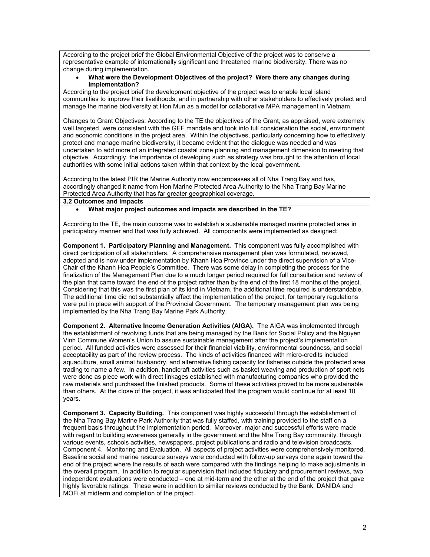According to the project brief the Global Environmental Objective of the project was to conserve a representative example of internationally significant and threatened marine biodiversity. There was no change during implementation.

## • **What were the Development Objectives of the project? Were there any changes during implementation?**

According to the project brief the development objective of the project was to enable local island communities to improve their livelihoods, and in partnership with other stakeholders to effectively protect and manage the marine biodiversity at Hon Mun as a model for collaborative MPA management in Vietnam.

Changes to Grant Objectives: According to the TE the objectives of the Grant, as appraised, were extremely well targeted, were consistent with the GEF mandate and took into full consideration the social, environment and economic conditions in the project area. Within the objectives, particularly concerning how to effectively protect and manage marine biodiversity, it became evident that the dialogue was needed and was undertaken to add more of an integrated coastal zone planning and management dimension to meeting that objective. Accordingly, the importance of developing such as strategy was brought to the attention of local authorities with some initial actions taken within that context by the local government.

According to the latest PIR the Marine Authority now encompasses all of Nha Trang Bay and has, accordingly changed it name from Hon Marine Protected Area Authority to the Nha Trang Bay Marine Protected Area Authority that has far greater geographical coverage.

# **3.2 Outcomes and Impacts**

### • **What major project outcomes and impacts are described in the TE?**

According to the TE, the main outcome was to establish a sustainable managed marine protected area in participatory manner and that was fully achieved. All components were implemented as designed:

**Component 1. Participatory Planning and Management.** This component was fully accomplished with direct participation of all stakeholders. A comprehensive management plan was formulated, reviewed, adopted and is now under implementation by Khanh Hoa Province under the direct supervision of a Vice-Chair of the Khanh Hoa People's Committee. There was some delay in completing the process for the finalization of the Management Plan due to a much longer period required for full consultation and review of the plan that came toward the end of the project rather than by the end of the first 18 months of the project. Considering that this was the first plan of its kind in Vietnam, the additional time required is understandable. The additional time did not substantially affect the implementation of the project, for temporary regulations were put in place with support of the Provincial Government. The temporary management plan was being implemented by the Nha Trang Bay Marine Park Authority.

**Component 2. Alternative Income Generation Activities (AIGA).** The AIGA was implemented through the establishment of revolving funds that are being managed by the Bank for Social Policy and the Nguyen Vinh Commune Women's Union to assure sustainable management after the project's implementation period. All funded activities were assessed for their financial viability, environmental soundness, and social acceptability as part of the review process. The kinds of activities financed with micro-credits included aquaculture, small animal husbandry, and alternative fishing capacity for fisheries outside the protected area trading to name a few. In addition, handicraft activities such as basket weaving and production of sport nets were done as piece work with direct linkages established with manufacturing companies who provided the raw materials and purchased the finished products. Some of these activities proved to be more sustainable than others. At the close of the project, it was anticipated that the program would continue for at least 10 years.

**Component 3. Capacity Building.** This component was highly successful through the establishment of the Nha Trang Bay Marine Park Authority that was fully staffed, with training provided to the staff on a frequent basis throughout the implementation period. Moreover, major and successful efforts were made with regard to building awareness generally in the government and the Nha Trang Bay community. through various events, schools activities, newspapers, project publications and radio and television broadcasts. Component 4. Monitoring and Evaluation. All aspects of project activities were comprehensively monitored. Baseline social and marine resource surveys were conducted with follow-up surveys done again toward the end of the project where the results of each were compared with the findings helping to make adjustments in the overall program. In addition to regular supervision that included fiduciary and procurement reviews, two independent evaluations were conducted – one at mid-term and the other at the end of the project that gave highly favorable ratings. These were in addition to similar reviews conducted by the Bank, DANIDA and MOFi at midterm and completion of the project.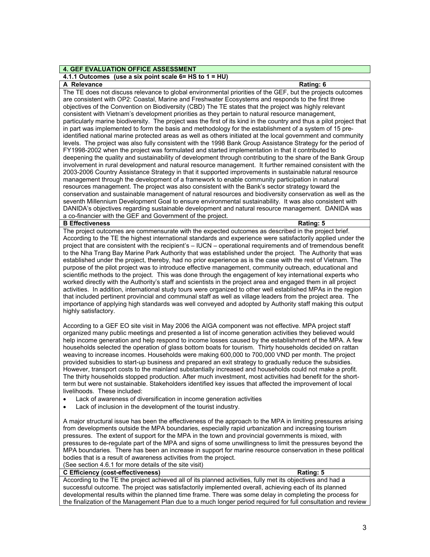# **4. GEF EVALUATION OFFICE ASSESSMENT**

# **4.1.1 Outcomes (use a six point scale 6= HS to 1 = HU)**

### **A Relevance** Rating: 6

The TE does not discuss relevance to global environmental priorities of the GEF, but the projects outcomes are consistent with OP2: Coastal, Marine and Freshwater Ecosystems and responds to the first three objectives of the Convention on Biodiversity (CBD) The TE states that the project was highly relevant consistent with Vietnam's development priorities as they pertain to natural resource management, particularly marine biodiversity. The project was the first of its kind in the country and thus a pilot project that in part was implemented to form the basis and methodology for the establishment of a system of 15 preidentified national marine protected areas as well as others initiated at the local government and community levels. The project was also fully consistent with the 1998 Bank Group Assistance Strategy for the period of FY1998-2002 when the project was formulated and started implementation in that it contributed to deepening the quality and sustainability of development through contributing to the share of the Bank Group involvement in rural development and natural resource management. It further remained consistent with the 2003-2006 Country Assistance Strategy in that it supported improvements in sustainable natural resource management through the development of a framework to enable community participation in natural resources management. The project was also consistent with the Bank's sector strategy toward the conservation and sustainable management of natural resources and biodiversity conservation as well as the seventh Millennium Development Goal to ensure environmental sustainability. It was also consistent with DANIDA's objectives regarding sustainable development and natural resource management. DANIDA was a co-financier with the GEF and Government of the project.

#### **B Effectiveness** Rating: 5

The project outcomes are commensurate with the expected outcomes as described in the project brief. According to the TE the highest international standards and experience were satisfactorily applied under the project that are consistent with the recipient's – IUCN – operational requirements and of tremendous benefit to the Nha Trang Bay Marine Park Authority that was established under the project. The Authority that was established under the project, thereby, had no prior experience as is the case with the rest of Vietnam. The purpose of the pilot project was to introduce effective management, community outreach, educational and scientific methods to the project. This was done through the engagement of key international experts who worked directly with the Authority's staff and scientists in the project area and engaged them in all project activities. In addition, international study tours were organized to other well established MPAs in the region that included pertinent provincial and communal staff as well as village leaders from the project area. The importance of applying high standards was well conveyed and adopted by Authority staff making this output highly satisfactory.

According to a GEF EO site visit in May 2006 the AIGA component was not effective. MPA project staff organized many public meetings and presented a list of income generation activities they believed would help income generation and help respond to income losses caused by the establishment of the MPA. A few households selected the operation of glass bottom boats for tourism. Thirty households decided on rattan weaving to increase incomes. Households were making 600,000 to 700,000 VND per month. The project provided subsidies to start-up business and prepared an exit strategy to gradually reduce the subsidies. However, transport costs to the mainland substantially increased and households could not make a profit. The thirty households stopped production. After much investment, most activities had benefit for the shortterm but were not sustainable. Stakeholders identified key issues that affected the improvement of local livelihoods. These included:

- Lack of awareness of diversification in income generation activities
- Lack of inclusion in the development of the tourist industry.

A major structural issue has been the effectiveness of the approach to the MPA in limiting pressures arising from developments outside the MPA boundaries, especially rapid urbanization and increasing tourism pressures. The extent of support for the MPA in the town and provincial governments is mixed, with pressures to de-regulate part of the MPA and signs of some unwillingness to limit the pressures beyond the MPA boundaries. There has been an increase in support for marine resource conservation in these political bodies that is a result of awareness activities from the project.

#### (See section 4.6.1 for more details of the site visit) **C Efficiency (cost-effectiveness) Rating: 5**

According to the TE the project achieved all of its planned activities, fully met its objectives and had a successful outcome. The project was satisfactorily implemented overall, achieving each of its planned developmental results within the planned time frame. There was some delay in completing the process for the finalization of the Management Plan due to a much longer period required for full consultation and review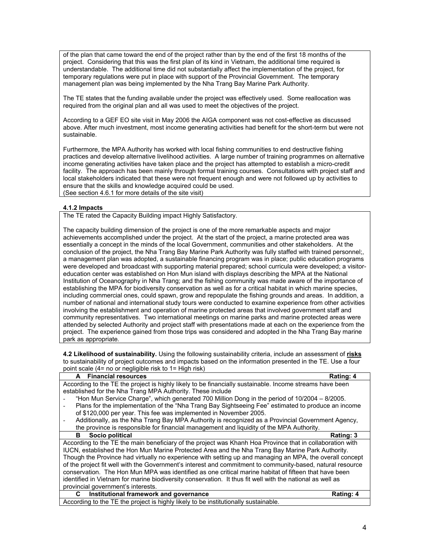of the plan that came toward the end of the project rather than by the end of the first 18 months of the project. Considering that this was the first plan of its kind in Vietnam, the additional time required is understandable. The additional time did not substantially affect the implementation of the project, for temporary regulations were put in place with support of the Provincial Government. The temporary management plan was being implemented by the Nha Trang Bay Marine Park Authority.

The TE states that the funding available under the project was effectively used. Some reallocation was required from the original plan and all was used to meet the objectives of the project.

According to a GEF EO site visit in May 2006 the AIGA component was not cost-effective as discussed above. After much investment, most income generating activities had benefit for the short-term but were not sustainable.

Furthermore, the MPA Authority has worked with local fishing communities to end destructive fishing practices and develop alternative livelihood activities. A large number of training programmes on alternative income generating activities have taken place and the project has attempted to establish a micro-credit facility. The approach has been mainly through formal training courses. Consultations with project staff and local stakeholders indicated that these were not frequent enough and were not followed up by activities to ensure that the skills and knowledge acquired could be used. (See section 4.6.1 for more details of the site visit)

### **4.1.2 Impacts**

The TE rated the Capacity Building impact Highly Satisfactory.

The capacity building dimension of the project is one of the more remarkable aspects and major achievements accomplished under the project. At the start of the project, a marine protected area was essentially a concept in the minds of the local Government, communities and other stakeholders. At the conclusion of the project, the Nha Trang Bay Marine Park Authority was fully staffed with trained personnel;, a management plan was adopted, a sustainable financing program was in place; public education programs were developed and broadcast with supporting material prepared; school curricula were developed; a visitoreducation center was established on Hon Mun island with displays describing the MPA at the National Institution of Oceanography in Nha Trang; and the fishing community was made aware of the importance of establishing the MPA for biodiversity conservation as well as for a critical habitat in which marine species, including commercial ones, could spawn, grow and repopulate the fishing grounds and areas. In addition, a number of national and international study tours were conducted to examine experience from other activities involving the establishment and operation of marine protected areas that involved government staff and community representatives. Two international meetings on marine parks and marine protected areas were attended by selected Authority and project staff with presentations made at each on the experience from the project. The experience gained from those trips was considered and adopted in the Nha Trang Bay marine park as appropriate.

**4.2 Likelihood of sustainability.** Using the following sustainability criteria, include an assessment of **risks** to sustainability of project outcomes and impacts based on the information presented in the TE. Use a four point scale (4= no or negligible risk to 1= High risk)

| A Financial resources                                                                                      | Rating: 4 |  |
|------------------------------------------------------------------------------------------------------------|-----------|--|
| According to the TE the project is highly likely to be financially sustainable. Income streams have been   |           |  |
| established for the Nha Trang MPA Authority. These include                                                 |           |  |
| "Hon Mun Service Charge", which generated 700 Million Dong in the period of 10/2004 – 8/2005.              |           |  |
| Plans for the implementation of the "Nha Trang Bay Sightseeing Fee" estimated to produce an income         |           |  |
| of \$120,000 per year. This fee was implemented in November 2005.                                          |           |  |
| Additionally, as the Nha Trang Bay MPA Authority is recognized as a Provincial Government Agency,          |           |  |
| the province is responsible for financial management and liquidity of the MPA Authority.                   |           |  |
| в<br>Socio political                                                                                       | Rating: 3 |  |
| According to the TE the main beneficiary of the project was Khanh Hoa Province that in collaboration with  |           |  |
| IUCN, established the Hon Mun Marine Protected Area and the Nha Trang Bay Marine Park Authority.           |           |  |
| Though the Province had virtually no experience with setting up and managing an MPA, the overall concept   |           |  |
| of the project fit well with the Government's interest and commitment to community-based, natural resource |           |  |
| conservation. The Hon Mun MPA was identified as one critical marine habitat of fifteen that have been      |           |  |
| identified in Vietnam for marine biodiversity conservation. It thus fit well with the national as well as  |           |  |
| provincial government's interests.                                                                         |           |  |
| Institutional framework and governance<br>C.                                                               | Rating: 4 |  |
| According to the TE the project is highly likely to be institutionally sustainable.                        |           |  |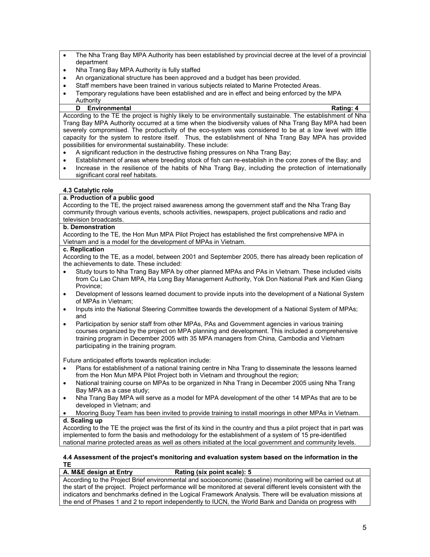- The Nha Trang Bay MPA Authority has been established by provincial decree at the level of a provincial department
- Nha Trang Bay MPA Authority is fully staffed
- An organizational structure has been approved and a budget has been provided.
- Staff members have been trained in various subjects related to Marine Protected Areas.
- Temporary regulations have been established and are in effect and being enforced by the MPA Authority

# **D Environmental Rating: 4**

According to the TE the project is highly likely to be environmentally sustainable. The establishment of Nha Trang Bay MPA Authority occurred at a time when the biodiversity values of Nha Trang Bay MPA had been severely compromised. The productivity of the eco-system was considered to be at a low level with little capacity for the system to restore itself. Thus, the establishment of Nha Trang Bay MPA has provided possibilities for environmental sustainability. These include:

- A significant reduction in the destructive fishing pressures on Nha Trang Bay;
- Establishment of areas where breeding stock of fish can re-establish in the core zones of the Bay; and
- Increase in the resilience of the habits of Nha Trang Bay, including the protection of internationally significant coral reef habitats.

# **4.3 Catalytic role**

### **a. Production of a public good**

According to the TE, the project raised awareness among the government staff and the Nha Trang Bay community through various events, schools activities, newspapers, project publications and radio and television broadcasts.

### **b. Demonstration**

According to the TE, the Hon Mun MPA Pilot Project has established the first comprehensive MPA in Vietnam and is a model for the development of MPAs in Vietnam.

#### **c. Replication**

According to the TE, as a model, between 2001 and September 2005, there has already been replication of the achievements to date. These included:

- Study tours to Nha Trang Bay MPA by other planned MPAs and PAs in Vietnam. These included visits from Cu Lao Cham MPA, Ha Long Bay Management Authority, Yok Don National Park and Kien Giang Province;
- Development of lessons learned document to provide inputs into the development of a National System of MPAs in Vietnam;
- Inputs into the National Steering Committee towards the development of a National System of MPAs; and
- Participation by senior staff from other MPAs, PAs and Government agencies in various training courses organized by the project on MPA planning and development. This included a comprehensive training program in December 2005 with 35 MPA managers from China, Cambodia and Vietnam participating in the training program.

Future anticipated efforts towards replication include:

- Plans for establishment of a national training centre in Nha Trang to disseminate the lessons learned from the Hon Mun MPA Pilot Project both in Vietnam and throughout the region;
- National training course on MPAs to be organized in Nha Trang in December 2005 using Nha Trang Bay MPA as a case study;
- Nha Trang Bay MPA will serve as a model for MPA development of the other 14 MPAs that are to be developed in Vietnam; and
- Mooring Buoy Team has been invited to provide training to install moorings in other MPAs in Vietnam. **d. Scaling up**

According to the TE the project was the first of its kind in the country and thus a pilot project that in part was implemented to form the basis and methodology for the establishment of a system of 15 pre-identified national marine protected areas as well as others initiated at the local government and community levels.

#### **4.4 Assessment of the project's monitoring and evaluation system based on the information in the TE**

# **A. M&E design at Entry Rating (six point scale): 5**

According to the Project Brief environmental and socioeconomic (baseline) monitoring will be carried out at the start of the project. Project performance will be monitored at several different levels consistent with the indicators and benchmarks defined in the Logical Framework Analysis. There will be evaluation missions at the end of Phases 1 and 2 to report independently to IUCN, the World Bank and Danida on progress with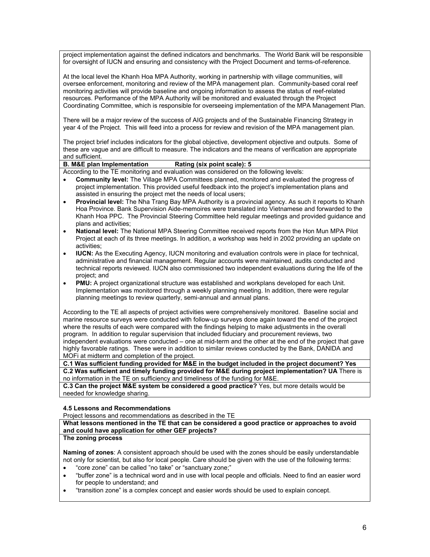project implementation against the defined indicators and benchmarks. The World Bank will be responsible for oversight of IUCN and ensuring and consistency with the Project Document and terms-of-reference.

At the local level the Khanh Hoa MPA Authority, working in partnership with village communities, will oversee enforcement, monitoring and review of the MPA management plan. Community-based coral reef monitoring activities will provide baseline and ongoing information to assess the status of reef-related resources. Performance of the MPA Authority will be monitored and evaluated through the Project Coordinating Committee, which is responsible for overseeing implementation of the MPA Management Plan.

There will be a major review of the success of AIG projects and of the Sustainable Financing Strategy in year 4 of the Project. This will feed into a process for review and revision of the MPA management plan.

The project brief includes indicators for the global objective, development objective and outputs. Some of these are vague and are difficult to measure. The indicators and the means of verification are appropriate and sufficient.

# **B. M&E plan Implementation Rating (six point scale): 5**

According to the TE monitoring and evaluation was considered on the following levels:

- **Community level:** The Village MPA Committees planned, monitored and evaluated the progress of project implementation. This provided useful feedback into the project's implementation plans and assisted in ensuring the project met the needs of local users;
- **Provincial level:** The Nha Trang Bay MPA Authority is a provincial agency. As such it reports to Khanh Hoa Province. Bank Supervision Aide-memoires were translated into Vietnamese and forwarded to the Khanh Hoa PPC. The Provincial Steering Committee held regular meetings and provided guidance and plans and activities;
- **National level:** The National MPA Steering Committee received reports from the Hon Mun MPA Pilot Project at each of its three meetings. In addition, a workshop was held in 2002 providing an update on activities;
- **IUCN:** As the Executing Agency, IUCN monitoring and evaluation controls were in place for technical, administrative and financial management. Regular accounts were maintained, audits conducted and technical reports reviewed. IUCN also commissioned two independent evaluations during the life of the project; and
- **PMU:** A project organizational structure was established and workplans developed for each Unit. Implementation was monitored through a weekly planning meeting. In addition, there were regular planning meetings to review quarterly, semi-annual and annual plans.

According to the TE all aspects of project activities were comprehensively monitored. Baseline social and marine resource surveys were conducted with follow-up surveys done again toward the end of the project where the results of each were compared with the findings helping to make adjustments in the overall program. In addition to regular supervision that included fiduciary and procurement reviews, two independent evaluations were conducted – one at mid-term and the other at the end of the project that gave highly favorable ratings. These were in addition to similar reviews conducted by the Bank, DANIDA and MOFi at midterm and completion of the project.

**C.1 Was sufficient funding provided for M&E in the budget included in the project document? Yes C.2 Was sufficient and timely funding provided for M&E during project implementation? UA** There is no information in the TE on sufficiency and timeliness of the funding for M&E.

**C.3 Can the project M&E system be considered a good practice?** Yes, but more details would be needed for knowledge sharing.

#### **4.5 Lessons and Recommendations**

Project lessons and recommendations as described in the TE

**What lessons mentioned in the TE that can be considered a good practice or approaches to avoid and could have application for other GEF projects?**

#### **The zoning process**

**Naming of zones**: A consistent approach should be used with the zones should be easily understandable not only for scientist, but also for local people. Care should be given with the use of the following terms:

- "core zone" can be called "no take" or "sanctuary zone;"
- "buffer zone" is a technical word and in use with local people and officials. Need to find an easier word for people to understand; and
- "transition zone" is a complex concept and easier words should be used to explain concept.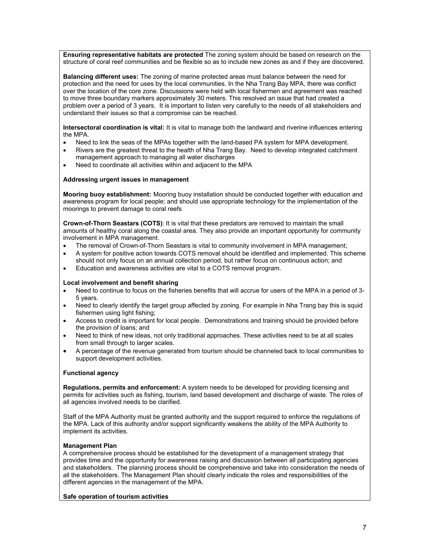**Ensuring representative habitats are protected** The zoning system should be based on research on the structure of coral reef communities and be flexible so as to include new zones as and if they are discovered.

**Balancing different uses:** The zoning of marine protected areas must balance between the need for protection and the need for uses by the local communities. In the Nha Trang Bay MPA, there was conflict over the location of the core zone. Discussions were held with local fishermen and agreement was reached to move three boundary markers approximately 30 meters. This resolved an issue that had created a problem over a period of 3 years. It is important to listen very carefully to the needs of all stakeholders and understand their issues so that a compromise can be reached.

**Intersectoral coordination is vital:** It is vital to manage both the landward and riverine influences entering the MPA.

- Need to link the seas of the MPAs together with the land-based PA system for MPA development.
- Rivers are the greatest threat to the health of Nha Trang Bay. Need to develop integrated catchment management approach to managing all water discharges
- Need to coordinate all activities within and adjacent to the MPA

#### **Addressing urgent issues in management**

**Mooring buoy establishment:** Mooring buoy installation should be conducted together with education and awareness program for local people; and should use appropriate technology for the implementation of the moorings to prevent damage to coral reefs

**Crown-of-Thorn Seastars (COTS)**: It is vital that these predators are removed to maintain the small amounts of healthy coral along the coastal area. They also provide an important opportunity for community involvement in MPA management.

- The removal of Crown-of-Thorn Seastars is vital to community involvement in MPA management:
- A system for positive action towards COTS removal should be identified and implemented. This scheme should not only focus on an annual collection period, but rather focus on continuous action; and
- Education and awareness activities are vital to a COTS removal program.

#### **Local involvement and benefit sharing**

- Need to continue to focus on the fisheries benefits that will accrue for users of the MPA in a period of 3- 5 years.
- Need to clearly identify the target group affected by zoning. For example in Nha Trang bay this is squid fishermen using light fishing;
- Access to credit is important for local people. Demonstrations and training should be provided before the provision of loans; and
- Need to think of new ideas, not only traditional approaches. These activities need to be at all scales from small through to larger scales.
- A percentage of the revenue generated from tourism should be channeled back to local communities to support development activities.

#### **Functional agency**

**Regulations, permits and enforcement:** A system needs to be developed for providing licensing and permits for activities such as fishing, tourism, land based development and discharge of waste. The roles of all agencies involved needs to be clarified.

Staff of the MPA Authority must be granted authority and the support required to enforce the regulations of the MPA. Lack of this authority and/or support significantly weakens the ability of the MPA Authority to implement its activities.

#### **Management Plan**

A comprehensive process should be established for the development of a management strategy that provides time and the opportunity for awareness raising and discussion between all participating agencies and stakeholders. The planning process should be comprehensive and take into consideration the needs of all the stakeholders. The Management Plan should clearly indicate the roles and responsibilities of the different agencies in the management of the MPA.

#### **Safe operation of tourism activities**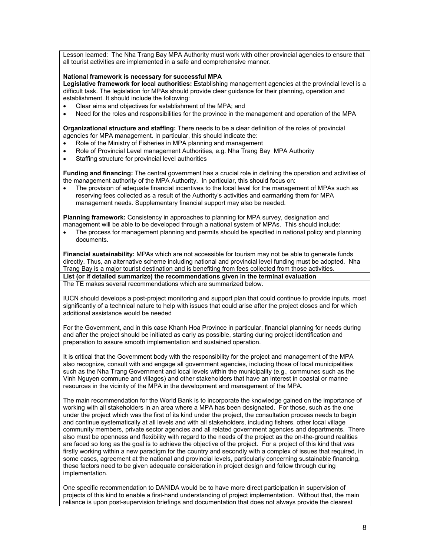Lesson learned: The Nha Trang Bay MPA Authority must work with other provincial agencies to ensure that all tourist activities are implemented in a safe and comprehensive manner.

#### **National framework is necessary for successful MPA**

**Legislative framework for local authorities:** Establishing management agencies at the provincial level is a difficult task. The legislation for MPAs should provide clear guidance for their planning, operation and establishment. It should include the following:

- Clear aims and objectives for establishment of the MPA; and
- Need for the roles and responsibilities for the province in the management and operation of the MPA

**Organizational structure and staffing:** There needs to be a clear definition of the roles of provincial agencies for MPA management. In particular, this should indicate the:

- Role of the Ministry of Fisheries in MPA planning and management
- Role of Provincial Level management Authorities, e.g. Nha Trang Bay MPA Authority
- Staffing structure for provincial level authorities

**Funding and financing:** The central government has a crucial role in defining the operation and activities of the management authority of the MPA Authority. In particular, this should focus on:

The provision of adequate financial incentives to the local level for the management of MPAs such as reserving fees collected as a result of the Authority's activities and earmarking them for MPA management needs. Supplementary financial support may also be needed.

**Planning framework:** Consistency in approaches to planning for MPA survey, designation and management will be able to be developed through a national system of MPAs. This should include:

• The process for management planning and permits should be specified in national policy and planning documents.

**Financial sustainability:** MPAs which are not accessible for tourism may not be able to generate funds directly. Thus, an alternative scheme including national and provincial level funding must be adopted. Nha Trang Bay is a major tourist destination and is benefiting from fees collected from those activities. **List (or if detailed summarize) the recommendations given in the terminal evaluation** 

The TE makes several recommendations which are summarized below.

IUCN should develops a post-project monitoring and support plan that could continue to provide inputs, most significantly of a technical nature to help with issues that could arise after the project closes and for which additional assistance would be needed

For the Government, and in this case Khanh Hoa Province in particular, financial planning for needs during and after the project should be initiated as early as possible, starting during project identification and preparation to assure smooth implementation and sustained operation.

It is critical that the Government body with the responsibility for the project and management of the MPA also recognize, consult with and engage all government agencies, including those of local municipalities such as the Nha Trang Government and local levels within the municipality (e.g., communes such as the Vinh Nguyen commune and villages) and other stakeholders that have an interest in coastal or marine resources in the vicinity of the MPA in the development and management of the MPA.

The main recommendation for the World Bank is to incorporate the knowledge gained on the importance of working with all stakeholders in an area where a MPA has been designated. For those, such as the one under the project which was the first of its kind under the project, the consultation process needs to begin and continue systematically at all levels and with all stakeholders, including fishers, other local village community members, private sector agencies and all related government agencies and departments. There also must be openness and flexibility with regard to the needs of the project as the on-the-ground realities are faced so long as the goal is to achieve the objective of the project. For a project of this kind that was firstly working within a new paradigm for the country and secondly with a complex of issues that required, in some cases, agreement at the national and provincial levels, particularly concerning sustainable financing, these factors need to be given adequate consideration in project design and follow through during implementation.

One specific recommendation to DANIDA would be to have more direct participation in supervision of projects of this kind to enable a first-hand understanding of project implementation. Without that, the main reliance is upon post-supervision briefings and documentation that does not always provide the clearest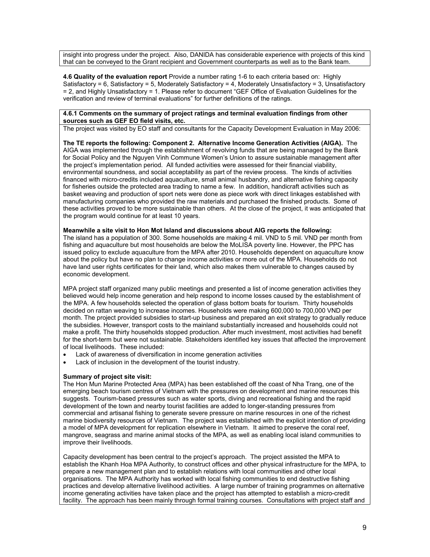insight into progress under the project. Also, DANIDA has considerable experience with projects of this kind that can be conveyed to the Grant recipient and Government counterparts as well as to the Bank team.

**4.6 Quality of the evaluation report** Provide a number rating 1-6 to each criteria based on: Highly Satisfactory = 6, Satisfactory = 5, Moderately Satisfactory =  $\overline{4}$ , Moderately Unsatisfactory = 3, Unsatisfactory = 2, and Highly Unsatisfactory = 1. Please refer to document "GEF Office of Evaluation Guidelines for the verification and review of terminal evaluations" for further definitions of the ratings.

#### **4.6.1 Comments on the summary of project ratings and terminal evaluation findings from other sources such as GEF EO field visits, etc.**

The project was visited by EO staff and consultants for the Capacity Development Evaluation in May 2006:

**The TE reports the following: Component 2. Alternative Income Generation Activities (AIGA).** The AIGA was implemented through the establishment of revolving funds that are being managed by the Bank for Social Policy and the Nguyen Vinh Commune Women's Union to assure sustainable management after the project's implementation period. All funded activities were assessed for their financial viability, environmental soundness, and social acceptability as part of the review process. The kinds of activities financed with micro-credits included aquaculture, small animal husbandry, and alternative fishing capacity for fisheries outside the protected area trading to name a few. In addition, handicraft activities such as basket weaving and production of sport nets were done as piece work with direct linkages established with manufacturing companies who provided the raw materials and purchased the finished products. Some of these activities proved to be more sustainable than others. At the close of the project, it was anticipated that the program would continue for at least 10 years.

#### **Meanwhile a site visit to Hon Mot Island and discussions about AIG reports the following:**

The island has a population of 300. Some households are making 4 mil. VND to 5 mil. VND per month from fishing and aquaculture but most households are below the MoLISA poverty line. However, the PPC has issued policy to exclude aquaculture from the MPA after 2010. Households dependent on aquaculture know about the policy but have no plan to change income activities or more out of the MPA. Households do not have land user rights certificates for their land, which also makes them vulnerable to changes caused by economic development.

MPA project staff organized many public meetings and presented a list of income generation activities they believed would help income generation and help respond to income losses caused by the establishment of the MPA. A few households selected the operation of glass bottom boats for tourism. Thirty households decided on rattan weaving to increase incomes. Households were making 600,000 to 700,000 VND per month. The project provided subsidies to start-up business and prepared an exit strategy to gradually reduce the subsidies. However, transport costs to the mainland substantially increased and households could not make a profit. The thirty households stopped production. After much investment, most activities had benefit for the short-term but were not sustainable. Stakeholders identified key issues that affected the improvement of local livelihoods. These included:

- Lack of awareness of diversification in income generation activities
- Lack of inclusion in the development of the tourist industry.

#### **Summary of project site visit:**

The Hon Mun Marine Protected Area (MPA) has been established off the coast of Nha Trang, one of the emerging beach tourism centres of Vietnam with the pressures on development and marine resources this suggests. Tourism-based pressures such as water sports, diving and recreational fishing and the rapid development of the town and nearby tourist facilities are added to longer-standing pressures from commercial and artisanal fishing to generate severe pressure on marine resources in one of the richest marine biodiversity resources of Vietnam. The project was established with the explicit intention of providing a model of MPA development for replication elsewhere in Vietnam. It aimed to preserve the coral reef, mangrove, seagrass and marine animal stocks of the MPA, as well as enabling local island communities to improve their livelihoods.

Capacity development has been central to the project's approach. The project assisted the MPA to establish the Khanh Hoa MPA Authority, to construct offices and other physical infrastructure for the MPA, to prepare a new management plan and to establish relations with local communities and other local organisations. The MPA Authority has worked with local fishing communities to end destructive fishing practices and develop alternative livelihood activities. A large number of training programmes on alternative income generating activities have taken place and the project has attempted to establish a micro-credit facility. The approach has been mainly through formal training courses. Consultations with project staff and